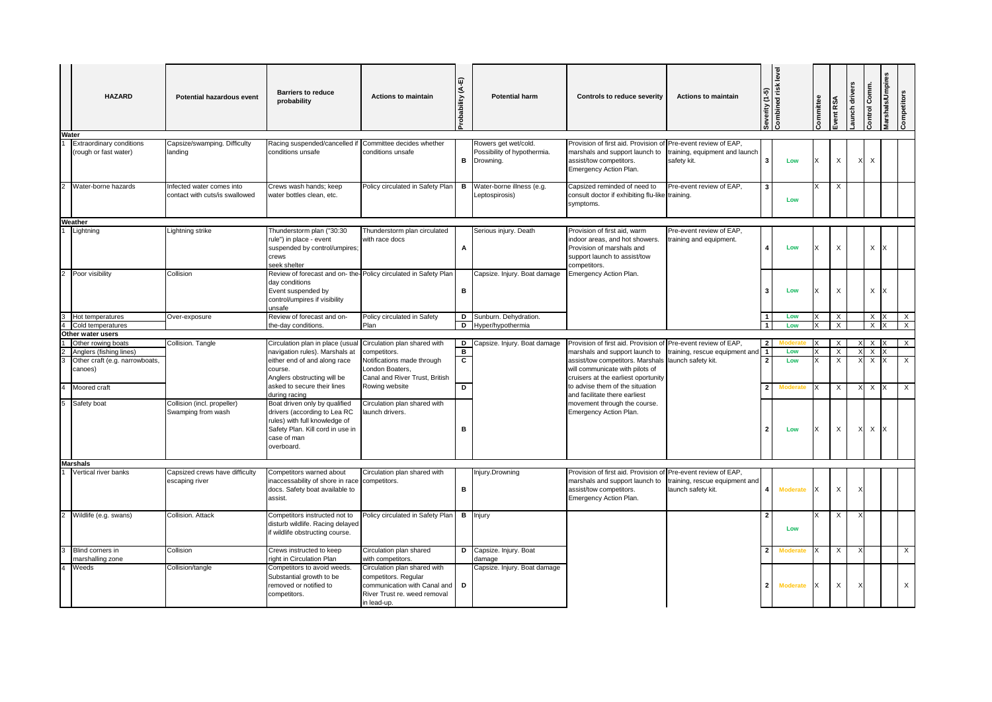| Water | <b>HAZARD</b>                                 | <b>Potential hazardous event</b>                            | <b>Barriers to reduce</b><br>probability                                                                                                                        | <b>Actions to maintain</b>                                                                                                          | ઙ<br>Probability | <b>Potential harm</b>                                | <b>Controls to reduce severity</b>                                                                                                                   | <b>Actions to maintain</b>                           | Severity (1-5) | <b>Levi</b><br>Combined risk | Committee | ivent RSA | aunch driver | Control Comm | Marshals/Umpires | Competitors             |
|-------|-----------------------------------------------|-------------------------------------------------------------|-----------------------------------------------------------------------------------------------------------------------------------------------------------------|-------------------------------------------------------------------------------------------------------------------------------------|------------------|------------------------------------------------------|------------------------------------------------------------------------------------------------------------------------------------------------------|------------------------------------------------------|----------------|------------------------------|-----------|-----------|--------------|--------------|------------------|-------------------------|
|       | <b>Extraordinary conditions</b>               | Capsize/swamping. Difficulty                                | Racing suspended/cancelled if                                                                                                                                   | Committee decides whether                                                                                                           |                  | Rowers get wet/cold.                                 | Provision of first aid. Provision of Pre-event review of EAP,                                                                                        |                                                      |                |                              |           |           |              |              |                  |                         |
|       | (rough or fast water)                         | landing                                                     | conditions unsafe                                                                                                                                               | conditions unsafe                                                                                                                   |                  | Possibility of hypothermia.<br><b>B</b> Drowning.    | narshals and support launch to<br>assist/tow competitors.<br>Emergency Action Plan.                                                                  | training, equipment and launch<br>safety kit.        |                | Low                          | X         | X         |              | X            |                  |                         |
|       | Water-borne hazards                           | Infected water comes into<br>contact with cuts/is swallowed | Crews wash hands; keep<br>water bottles clean, etc.                                                                                                             | Policy circulated in Safety Plan                                                                                                    |                  | <b>B</b> Water-borne illness (e.g.<br>Leptospirosis) | Capsized reminded of need to<br>consult doctor if exhibiting flu-like training.<br>symptoms.                                                         | Pre-event review of EAP,                             |                | Low                          | X         | Х         |              |              |                  |                         |
|       | Weather                                       |                                                             |                                                                                                                                                                 |                                                                                                                                     |                  |                                                      |                                                                                                                                                      |                                                      |                |                              |           |           |              |              |                  |                         |
|       | Lightning                                     | Lightning strike                                            | Thunderstorm plan ("30:30<br>rule") in place - event<br>suspended by control/umpires;<br>crews<br>seek shelter                                                  | Thunderstorm plan circulated<br>with race docs                                                                                      | Α                | Serious injury. Death                                | Provision of first aid, warm<br>indoor areas, and hot showers.<br>Provision of marshals and<br>support launch to assist/tow<br>competitors.          | Pre-event review of EAP,<br>training and equipment.  |                | Low                          | $\times$  | X         |              | X            |                  |                         |
|       | 2 Poor visibility                             | Collision                                                   | Review of forecast and on- the-<br>day conditions<br>Event suspended by<br>control/umpires if visibility<br>unsafe                                              | Policy circulated in Safety Plan                                                                                                    | в                | Capsize. Injury. Boat damage                         | Emergency Action Plan.                                                                                                                               |                                                      |                | Low                          | X         | X         |              | X            |                  |                         |
|       | 3 Hot temperatures                            | Over-exposure                                               | Review of forecast and on-                                                                                                                                      | Policy circulated in Safety                                                                                                         |                  | D Sunburn. Dehydration.                              |                                                                                                                                                      |                                                      | $\vert$ 1      | Low                          |           | X         |              | Χ            |                  | $\overline{\mathsf{x}}$ |
|       | Cold temperatures                             |                                                             | the-day conditions.                                                                                                                                             | Plan                                                                                                                                |                  | D Hyper/hypothermia                                  |                                                                                                                                                      |                                                      | $\overline{1}$ | Low                          |           | X         |              | X            |                  | $\times$                |
|       | Other water users                             |                                                             |                                                                                                                                                                 |                                                                                                                                     |                  |                                                      |                                                                                                                                                      | Pre-event review of EAP,                             | $\overline{2}$ |                              |           | X         |              | X            |                  | $\times$                |
|       | Other rowing boats<br>Anglers (fishing lines) | Collision. Tangle                                           | Circulation plan in place (usual<br>navigation rules). Marshals at                                                                                              | Circulation plan shared with<br>competitors.                                                                                        | B                | D Capsize. Injury. Boat damage                       | Provision of first aid. Provision of<br>marshals and support launch to                                                                               | training, rescue equipment and                       | $\vert$ 1      | Low                          | X         | $\times$  |              | $\times$     |                  |                         |
| 3     | Other craft (e.g. narrowboats,<br>canoes)     |                                                             | either end of and along race<br>course.<br>Anglers obstructing will be                                                                                          | Notifications made through<br>London Boaters,<br>Canal and River Trust, British                                                     | C                |                                                      | assist/tow competitors. Marshals<br>will communicate with pilots of<br>cruisers at the earliest oportunity                                           | launch safety kit.                                   | $\overline{2}$ | Low                          | ΙX        | Х         |              | X            |                  | $\times$                |
|       | Moored craft                                  |                                                             | asked to secure their lines<br>during racing                                                                                                                    | Rowing website                                                                                                                      | D                |                                                      | to advise them of the situation<br>and facilitate there earliest                                                                                     |                                                      |                | <b>Moderate</b>              | ΙX        | X         |              | X            |                  | X                       |
| 5     | Safety boat                                   | Collision (incl. propeller)<br>Swamping from wash           | Boat driven only by qualified<br>drivers (according to Lea RC<br>rules) with full knowledge of<br>Safety Plan. Kill cord in use in<br>case of man<br>overboard. | Circulation plan shared with<br>aunch drivers.                                                                                      | в                |                                                      | movement through the course.<br>Emergency Action Plan.                                                                                               |                                                      | 2              | Low                          | X         | X         |              | $\times$     |                  |                         |
|       | <b>Marshals</b>                               |                                                             |                                                                                                                                                                 |                                                                                                                                     |                  |                                                      |                                                                                                                                                      |                                                      |                |                              |           |           |              |              |                  |                         |
|       | Vertical river banks                          | Capsized crews have difficulty<br>escaping river            | Competitors warned about<br>inaccessability of shore in race<br>docs. Safety boat available to<br>assist.                                                       | Circulation plan shared with<br>competitors.                                                                                        | в                | njury.Drowning                                       | Provision of first aid. Provision of Pre-event review of EAP,<br>marshals and support launch to<br>assist/tow competitors.<br>Emergency Action Plan. | training, rescue equipment and<br>launch safety kit. | 4              | <b>Moderate</b>              | X         | X         |              |              |                  |                         |
|       | Wildlife (e.g. swans)                         | Collision. Attack                                           | Competitors instructed not to<br>disturb wildlife. Racing delayed<br>f wildlife obstructing course.                                                             | Policy circulated in Safety Plar                                                                                                    |                  | <b>B</b> Injury                                      |                                                                                                                                                      |                                                      |                | Low                          |           | Х         |              |              |                  |                         |
|       | 3 Blind corners in<br>marshalling zone        | Collision                                                   | Crews instructed to keep<br>right in Circulation Plan                                                                                                           | Circulation plan shared<br>with competitors.                                                                                        |                  | D Capsize. Injury. Boat<br>damage                    |                                                                                                                                                      |                                                      |                | Moderate                     | X         | Χ         |              |              |                  | $\overline{X}$          |
|       | Weeds                                         | Collision/tangle                                            | Competitors to avoid weeds.<br>Substantial growth to be<br>removed or notified to<br>competitors.                                                               | Circulation plan shared with<br>competitors. Regular<br>communication with Canal and<br>River Trust re. weed removal<br>in lead-up. | D                | Capsize. Injury. Boat damage                         |                                                                                                                                                      |                                                      | 2 <sup>1</sup> | <b>Moderate</b>              | IX        | X         |              |              |                  | X                       |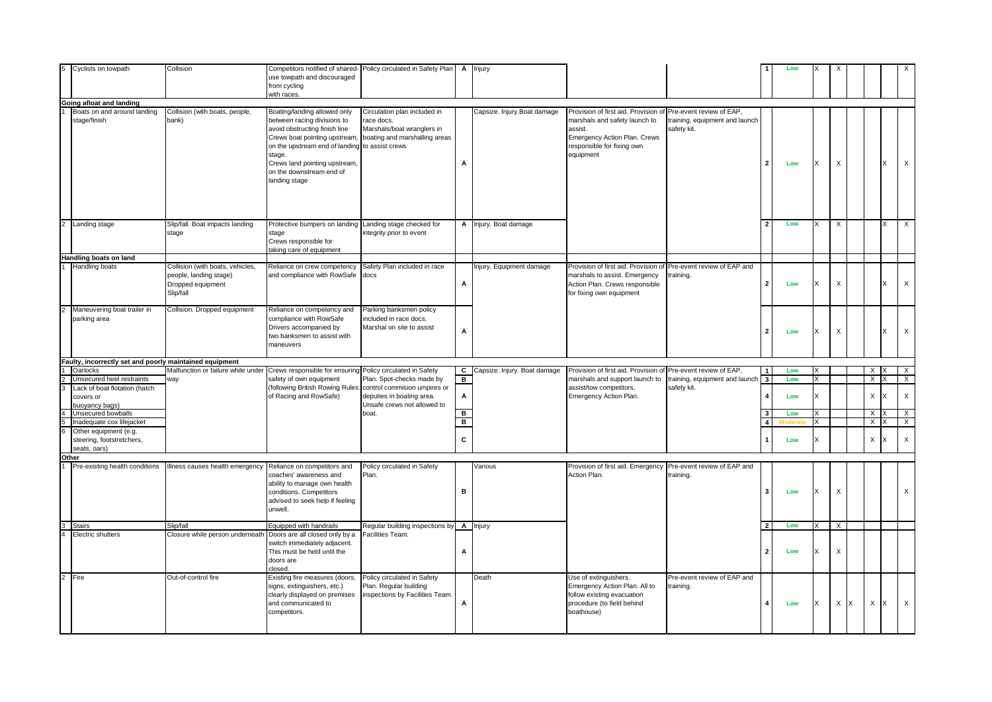|                | Cyclists on towpath                                                | Collision                                                                                    | Competitors notified of shared-<br>use towpath and discouraged<br>from cycling<br>with races.                                                                                                                                                         | Policy circulated in Safety Plan                                                                                             |                | <b>A</b> Injury                |                                                                                                                                                                                      |                                               |                         | Low |              |          |   |               |   |                           |
|----------------|--------------------------------------------------------------------|----------------------------------------------------------------------------------------------|-------------------------------------------------------------------------------------------------------------------------------------------------------------------------------------------------------------------------------------------------------|------------------------------------------------------------------------------------------------------------------------------|----------------|--------------------------------|--------------------------------------------------------------------------------------------------------------------------------------------------------------------------------------|-----------------------------------------------|-------------------------|-----|--------------|----------|---|---------------|---|---------------------------|
|                | Going afloat and landing                                           |                                                                                              |                                                                                                                                                                                                                                                       |                                                                                                                              |                |                                |                                                                                                                                                                                      |                                               |                         |     |              |          |   |               |   |                           |
|                | Boats on and around landing<br>stage/finish                        | Collision (with boats, people,<br>bank)                                                      | Boating/landing allowed only<br>between racing divisions to<br>avoid obstructing finish line<br>Crews boat pointing upstream<br>on the upstream end of landing<br>stage.<br>Crews land pointing upstream<br>on the downstream end of<br>landing stage | Circulation plan included in<br>race docs.<br>Marshals/boat wranglers in<br>boating and marshalling areas<br>to assist crews | A              | Capsize. Injury.Boat damage    | Provision of first aid. Provision of Pre-event review of EAP,<br>marshals and safety launch to<br>assist.<br>Emergency Action Plan. Crews<br>responsible for fixing own<br>equipment | training, equipment and launch<br>safety kit. | 2                       | Low | X            | X        |   |               |   | $\mathsf{X}$              |
|                | 2 Landing stage                                                    | Slip/fall. Boat impacts landing<br>stage                                                     | Protective bumpers on landing<br>stage<br>Crews responsible for<br>taking care of equipment                                                                                                                                                           | Landing stage checked for<br>integrity prior to event                                                                        |                | A Injury. Boat damage          |                                                                                                                                                                                      |                                               | $\overline{\mathbf{2}}$ | Low | X            | X        |   |               |   | $\mathsf{X}$              |
|                | Handling boats on land                                             |                                                                                              |                                                                                                                                                                                                                                                       |                                                                                                                              |                |                                |                                                                                                                                                                                      |                                               |                         |     |              |          |   |               |   |                           |
|                | <b>Handling boats</b>                                              | Collision (with boats, vehicles,<br>people, landing stage)<br>Dropped equipment<br>Slip/fall | Reliance on crew competency<br>and compliance with RowSafe                                                                                                                                                                                            | Safety Plan included in race<br>docs                                                                                         | A              | njury. Equipment damage        | Provision of first aid. Provision of<br>marshals to assist. Emergency<br>Action Plan. Crews responsible<br>for fixing own equipment                                                  | Pre-event review of EAP and<br>raining.       |                         | Low | X            | X        |   |               |   | $\boldsymbol{\mathsf{X}}$ |
| $\overline{2}$ | Maneuvering boat trailer in<br>parking area                        | Collision. Dropped equipment                                                                 | Reliance on competency and<br>compliance with RowSafe<br>Drivers accompanied by<br>two banksmen to assist with<br>maneuvers                                                                                                                           | Parking banksmen policy<br>included in race docs.<br>Marshal on site to assist                                               | Α              |                                |                                                                                                                                                                                      |                                               |                         | Low | X            | X        |   |               |   | $\mathsf X$               |
|                | Faulty, incorrectly set and poorly maintained equipment            |                                                                                              |                                                                                                                                                                                                                                                       |                                                                                                                              |                |                                |                                                                                                                                                                                      |                                               |                         |     |              |          |   |               |   |                           |
|                | Oarlocks                                                           | Malfunction or failure while under                                                           | Crews responsible for ensuring                                                                                                                                                                                                                        | Policy circulated in Safety                                                                                                  |                | C Capsize. Injury. Boat damage | Provision of first aid. Provision of                                                                                                                                                 | Pre-event review of EAP,                      | 1                       | Low | X            |          |   | X             |   | $\times$                  |
|                | Unsecured heel restraints                                          | way                                                                                          | safety of own equipment                                                                                                                                                                                                                               | Plan. Spot-checks made by                                                                                                    | в.             |                                | marshals and support launch to                                                                                                                                                       | training, equipment and launch                | $\sqrt{3}$              | Low | ΙX           |          |   | X             |   | $\times$                  |
|                | Lack of boat flotation (hatch<br>covers or<br>buoyancy bags)       |                                                                                              | following British Rowing Rules<br>of Racing and RowSafe)                                                                                                                                                                                              | control commision umpires or<br>deputies in boating area.<br>Unsafe crews not allowed to                                     | А              |                                | assist/tow competitors.<br>Emergency Action Plan.                                                                                                                                    | safety kit.                                   |                         | Low | $\mathsf{x}$ |          |   | X             |   | $\boldsymbol{\mathsf{X}}$ |
| $\overline{4}$ | Unsecured bowballs                                                 |                                                                                              |                                                                                                                                                                                                                                                       | boat.                                                                                                                        | $\blacksquare$ |                                |                                                                                                                                                                                      |                                               |                         | Low | X            |          |   | X             |   | $\mathsf{X}$              |
|                | Inadequate cox lifejacket                                          |                                                                                              |                                                                                                                                                                                                                                                       |                                                                                                                              | в              |                                |                                                                                                                                                                                      |                                               | $\boldsymbol{\Lambda}$  |     | $\mathsf{x}$ |          |   | $\times$<br>x |   | $\mathsf{X}$              |
|                | Other equipment (e.g.<br>steering, footstretchers,<br>seats, oars) |                                                                                              |                                                                                                                                                                                                                                                       |                                                                                                                              | C              |                                |                                                                                                                                                                                      |                                               |                         | Low | X            |          |   | X             |   | $\boldsymbol{\mathsf{X}}$ |
|                | Other                                                              |                                                                                              |                                                                                                                                                                                                                                                       |                                                                                                                              |                |                                |                                                                                                                                                                                      |                                               |                         |     |              |          |   |               |   |                           |
|                | Pre-existing health conditions                                     | Illness causes health emergency                                                              | Reliance on competitors and<br>coaches' awareness and<br>ability to manage own health<br>conditions. Competitors<br>advised to seek help if feeling<br>unwell.                                                                                        | Policy circulated in Safety<br>Plan.                                                                                         | в              | Various                        | Provision of first aid. Emergency Pre-event review of EAP and<br>Action Plan.                                                                                                        | training.                                     | -3                      | Low | X            | X        |   |               |   | $\times$                  |
| $3-1$          | <b>Stairs</b>                                                      | Slip/fall                                                                                    | Equipped with handrails                                                                                                                                                                                                                               | Regular building inspections by <b>A</b> Injury                                                                              |                |                                |                                                                                                                                                                                      |                                               | $\overline{2}$          | Low | X            | $\times$ |   |               |   |                           |
|                | Electric shutters                                                  | Closure while person underneath                                                              | Doors are all closed only by a<br>switch immediately adjacent.<br>This must be held until the<br>doors are<br>closed.                                                                                                                                 | Facilities Team.                                                                                                             | Α              |                                |                                                                                                                                                                                      |                                               |                         | Low | ΙX           | X        |   |               |   |                           |
|                | 2 Fire                                                             | Out-of-control fire                                                                          | Existing fire measures (doors,<br>signs, extinguishers, etc.)<br>clearly displayed on premises<br>and communicated to<br>competitors.                                                                                                                 | Policy circulated in Safety<br>Plan. Regular building<br>inspections by Facilities Team.                                     | А              | Death                          | Use of extinguishers.<br>Emergency Action Plan. All to<br>follow existing evacuation<br>procedure (to field behind<br>boathouse)                                                     | Pre-event review of EAP and<br>training.      |                         | Low | X            | X        | X | $\mathsf X$   | x | $\mathsf{X}$              |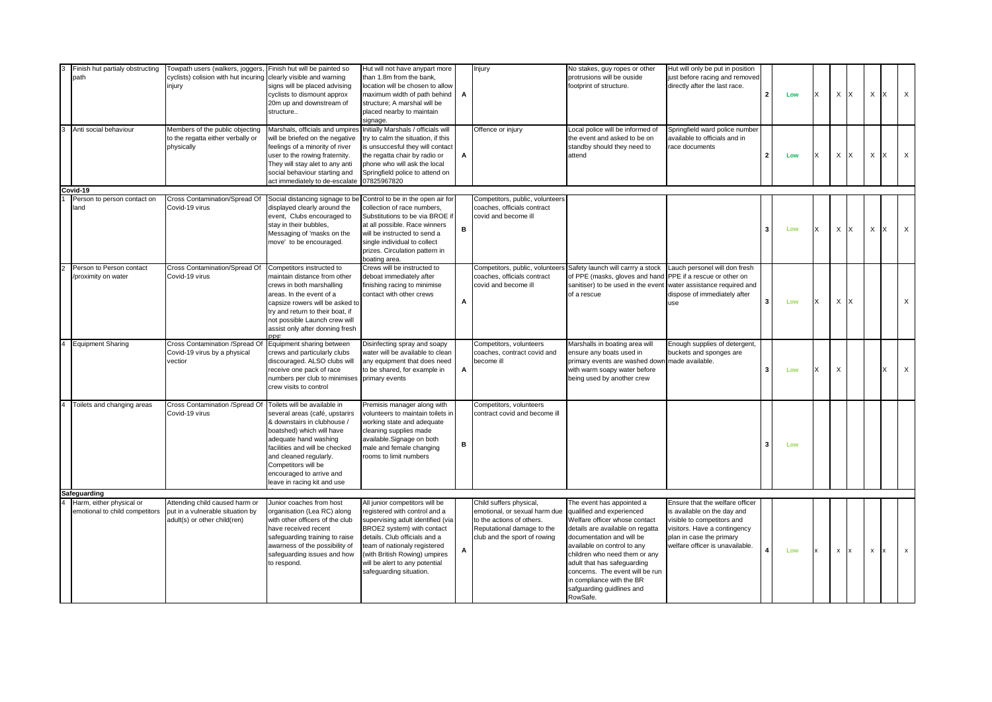| Finish hut partialy obstructing<br>path                    | Towpath users (walkers, joggers,<br>cyclists) colision with hut incuring clearly visible and warning<br>injury | Finish hut will be painted so<br>signs will be placed advising<br>cyclists to dismount approx<br>20m up and downstream of<br>structure                                                                                                                                                            | Hut will not have anypart more<br>than 1.8m from the bank,<br>location will be chosen to allow<br>maximum width of path behind<br>structure; A marshal will be<br>placed nearby to maintain<br>signage.                                                                                           | A | Injury                                                                                                                                              | No stakes, guy ropes or other<br>protrusions will be ouside<br>footprint of structure.                                                                                                                                                                                                                                                                           | Hut will only be put in position<br>just before racing and removed<br>directly after the last race.                                                                                         | $\overline{2}$ | Low | x | X            | IX.                     | X<br>IX            | $\mathsf{X}$ |
|------------------------------------------------------------|----------------------------------------------------------------------------------------------------------------|---------------------------------------------------------------------------------------------------------------------------------------------------------------------------------------------------------------------------------------------------------------------------------------------------|---------------------------------------------------------------------------------------------------------------------------------------------------------------------------------------------------------------------------------------------------------------------------------------------------|---|-----------------------------------------------------------------------------------------------------------------------------------------------------|------------------------------------------------------------------------------------------------------------------------------------------------------------------------------------------------------------------------------------------------------------------------------------------------------------------------------------------------------------------|---------------------------------------------------------------------------------------------------------------------------------------------------------------------------------------------|----------------|-----|---|--------------|-------------------------|--------------------|--------------|
| Anti social behaviour                                      | Members of the public objecting<br>to the regatta either verbally or<br>physically                             | Marshals, officials and umpires<br>will be briefed on the negative<br>feelings of a minority of river<br>user to the rowing fraternity.<br>They will stay alet to any anti<br>social behaviour starting and<br>act immediately to de-escalate                                                     | Initially Marshals / officials will<br>try to calm the situation, if this<br>is unsuccesful they will contact<br>the regatta chair by radio or<br>phone who will ask the local<br>Springfield police to attend on<br>07825967820                                                                  | А | Offence or injury                                                                                                                                   | Local police will be informed of<br>the event and asked to be on<br>standby should they need to<br>attend                                                                                                                                                                                                                                                        | Springfield ward police number<br>available to officials and in<br>race documents                                                                                                           | $\overline{2}$ | Low | X | X            | IX                      | X<br>Ιx            | $\mathsf X$  |
| Covid-19                                                   |                                                                                                                |                                                                                                                                                                                                                                                                                                   |                                                                                                                                                                                                                                                                                                   |   |                                                                                                                                                     |                                                                                                                                                                                                                                                                                                                                                                  |                                                                                                                                                                                             |                |     |   |              |                         |                    |              |
| Person to person contact on<br>land                        | Cross Contamination/Spread Of<br>Covid-19 virus                                                                | Social distancing signage to be<br>displayed clearly around the<br>event, Clubs encouraged to<br>stay in their bubbles,<br>Messaging of 'masks on the<br>move' to be encouraged.                                                                                                                  | Control to be in the open air for<br>collection of race numbers.<br>Substitutions to be via BROE if<br>at all possible. Race winners<br>will be instructed to send a<br>single individual to collect<br>prizes. Circulation pattern in<br>boating area.                                           | B | Competitors, public, volunteers<br>coaches, officials contract<br>covid and become ill                                                              |                                                                                                                                                                                                                                                                                                                                                                  |                                                                                                                                                                                             | 3              | Low | X | $\sf X$      | $\mathsf{I} \mathsf{X}$ | $\times$<br>Ix.    | $\times$     |
| Person to Person contact<br>proximity on water             | Cross Contamination/Spread Of<br>Covid-19 virus                                                                | Competitors instructed to<br>maintain distance from other<br>crews in both marshalling<br>areas. In the event of a<br>capsize rowers will be asked to<br>try and return to their boat, if<br>not possible Launch crew will<br>assist only after donning fresh<br>DE                               | Crews will be instructed to<br>deboat immediately after<br>finishing racing to minimise<br>contact with other crews                                                                                                                                                                               | А | Competitors, public, volunteers<br>coaches, officials contract<br>covid and become ill                                                              | Safety launch will carrry a stock<br>of PPE (masks, gloves and hand<br>sanitiser) to be used in the event<br>of a rescue                                                                                                                                                                                                                                         | Lauch personel will don fresh<br>PPE if a rescue or other on<br>water assistance required and<br>dispose of immediately after<br>use                                                        | 3              | Low | X | X            | $\mathsf{I} \times$     |                    | $\mathsf X$  |
| <b>Equipment Sharing</b>                                   | Cross Contamination /Spread Of<br>Covid-19 virus by a physical<br>vectior                                      | Equipment sharing between<br>crews and particularly clubs<br>discouraged. ALSO clubs will<br>receive one pack of race<br>numbers per club to minimises<br>crew visits to control                                                                                                                  | Disinfecting spray and soapy<br>water will be available to clean<br>any equipment that does need<br>to be shared, for example in<br>primary events                                                                                                                                                | A | Competitors, volunteers<br>coaches, contract covid and<br>become ill                                                                                | Marshalls in boating area will<br>ensure any boats used in<br>primary events are washed down<br>with warm soapy water before<br>being used by another crew                                                                                                                                                                                                       | Enough supplies of detergent,<br>buckets and sponges are<br>made available.                                                                                                                 | 3              | Low | X | Χ            |                         | X                  | $\mathsf{X}$ |
| Toilets and changing areas                                 | Cross Contamination /Spread Of<br>Covid-19 virus                                                               | Toilets will be available in<br>several areas (café, upstarirs<br>& downstairs in clubhouse /<br>boatshed) which will have<br>adequate hand washing<br>facilities and will be checked<br>and cleaned regularly.<br>Competitors will be<br>encouraged to arrive and<br>leave in racing kit and use | Premisis manager along with<br>volunteers to maintain toilets in<br>working state and adequate<br>cleaning supplies made<br>available.Signage on both<br>male and female changing<br>rooms to limit numbers                                                                                       | в | Competitors, volunteers<br>contract covid and become ill                                                                                            |                                                                                                                                                                                                                                                                                                                                                                  |                                                                                                                                                                                             | 3              | Low |   |              |                         |                    |              |
| Safeguarding                                               |                                                                                                                |                                                                                                                                                                                                                                                                                                   |                                                                                                                                                                                                                                                                                                   |   |                                                                                                                                                     |                                                                                                                                                                                                                                                                                                                                                                  |                                                                                                                                                                                             |                |     |   |              |                         |                    |              |
| Harm, either physical or<br>emotional to child competitors | Attending child caused harm or<br>put in a vulnerable situation by<br>adult(s) or other child(ren)             | Junior coaches from host<br>organisation (Lea RC) along<br>with other officers of the club<br>have received recent<br>safeguarding training to raise<br>awarness of the possibility of<br>safeguarding issues and how<br>to respond.                                                              | All junior competitors will be<br>registered with control and a<br>supervising adult identified (via<br>BROE2 system) with contact<br>details. Club officials and a<br>team of nationaly registered<br>(with British Rowing) umpires<br>will be alert to any potential<br>safeguarding situation. | А | Child suffers physical,<br>emotional, or sexual harm due<br>to the actions of others.<br>Reputational damage to the<br>club and the sport of rowing | The event has appointed a<br>qualified and experienced<br>Welfare officer whose contact<br>details are available on regatta<br>documentation and will be<br>available on control to any<br>children who need them or any<br>adult that has safeguarding<br>concerns. The event will be run<br>in compliance with the BR<br>safguarding guidlines and<br>RowSafe. | Ensure that the welfare officer<br>is available on the day and<br>visible to competitors and<br>visitors. Have a contingency<br>plan in case the primary<br>welfare officer is unavailable. |                | Low | x | $\pmb{\chi}$ | $\mathbf{I}$            | $\mathsf X$<br>Ix. | $\mathbf{x}$ |